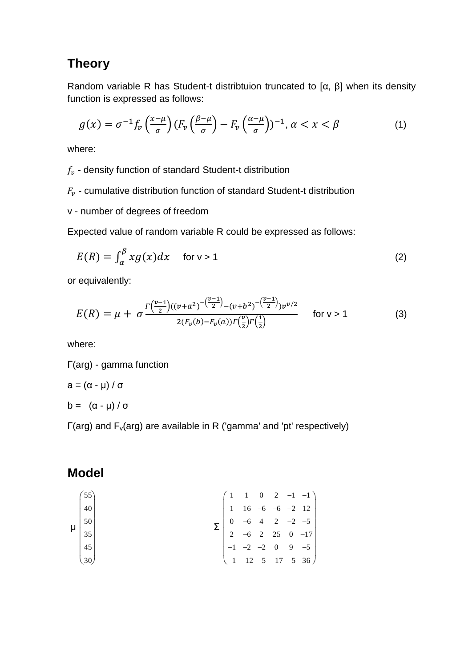## **Theory**

Random variable R has Student-t distribtuion truncated to [α, β] when its density function is expressed as follows:

$$
g(x) = \sigma^{-1} f_{\nu} \left( \frac{x - \mu}{\sigma} \right) (F_{\nu} \left( \frac{\beta - \mu}{\sigma} \right) - F_{\nu} \left( \frac{\alpha - \mu}{\sigma} \right))^{-1}, \alpha < x < \beta \tag{1}
$$

where:

 $f_{\nu}$  - density function of standard Student-t distribution

 $F_{\nu}$  - cumulative distribution function of standard Student-t distribution

v - number of degrees of freedom

Expected value of random variable R could be expressed as follows:

$$
E(R) = \int_{\alpha}^{\beta} x g(x) dx \quad \text{for } y > 1
$$
 (2)

or equivalently:

$$
E(R) = \mu + \sigma \frac{\Gamma(\frac{\nu-1}{2})((\nu+a^2)^{-(\frac{\nu-1}{2})} - (\nu+b^2)^{-(\frac{\nu-1}{2})})\nu^{\nu/2}}{2(F_{\nu}(b) - F_{\nu}(a))\Gamma(\frac{\nu}{2})\Gamma(\frac{1}{2})}
$$
 for v > 1 (3)

where:

Γ(arg) - gamma function  $a = (\alpha - \mu) / \sigma$ b =  $(\alpha - \mu)/\sigma$ 

Γ(arg) and Fv(arg) are available in R ('gamma' and 'pt' respectively)

# **Model**

$$
\mu\n\begin{pmatrix}\n55 \\
40 \\
50 \\
35 \\
45 \\
30\n\end{pmatrix}
$$
\n
$$
\Sigma\n\begin{pmatrix}\n1 & 1 & 0 & 2 & -1 & -1 \\
1 & 16 & -6 & -6 & -2 & 12 \\
0 & -6 & 4 & 2 & -2 & -5 \\
2 & -6 & 2 & 25 & 0 & -17 \\
-1 & -2 & -2 & 0 & 9 & -5 \\
-1 & -12 & -5 & -17 & -5 & 36\n\end{pmatrix}
$$